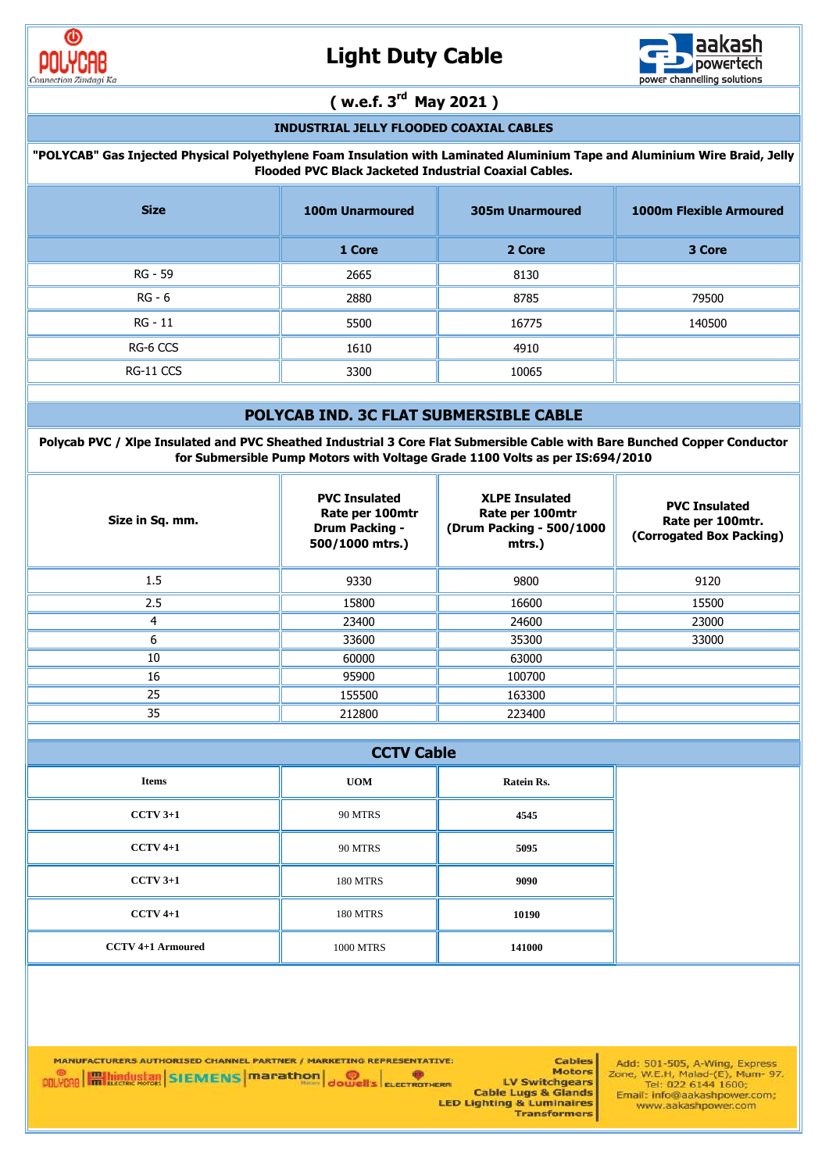



## **( w.e.f. 3rd May 2021 )**

### **INDUSTRIAL JELLY FLOODED COAXIAL CABLES**

#### **"POLYCAB" Gas Injected Physical Polyethylene Foam Insulation with Laminated Aluminium Tape and Aluminium Wire Braid, Jelly Flooded PVC Black Jacketed Industrial Coaxial Cables.**

| <b>Size</b> | <b>100m Unarmoured</b> | <b>305m Unarmoured</b> | <b>1000m Flexible Armoured</b> |
|-------------|------------------------|------------------------|--------------------------------|
|             | 1 Core                 | 2 Core                 | 3 Core                         |
| RG - 59     | 2665                   | 8130                   |                                |
| RG - 6      | 2880                   | 8785                   | 79500                          |
| RG - 11     | 5500                   | 16775                  | 140500                         |
| RG-6 CCS    | 1610                   | 4910                   |                                |
| RG-11 CCS   | 3300                   | 10065                  |                                |

#### **POLYCAB IND. 3C FLAT SUBMERSIBLE CABLE**

**Polycab PVC / Xlpe Insulated and PVC Sheathed Industrial 3 Core Flat Submersible Cable with Bare Bunched Copper Conductor for Submersible Pump Motors with Voltage Grade 1100 Volts as per IS:694/2010**

| Size in Sq. mm. | <b>PVC Insulated</b><br>Rate per 100mtr<br><b>Drum Packing -</b><br>500/1000 mtrs.) | <b>XLPE Insulated</b><br>Rate per 100mtr<br>(Drum Packing - 500/1000<br>mtrs.) | <b>PVC Insulated</b><br>Rate per 100mtr.<br>(Corrogated Box Packing) |
|-----------------|-------------------------------------------------------------------------------------|--------------------------------------------------------------------------------|----------------------------------------------------------------------|
| 1.5             | 9330                                                                                | 9800                                                                           | 9120                                                                 |
| 2.5             | 15800                                                                               | 16600                                                                          | 15500                                                                |
|                 | 23400                                                                               | 24600                                                                          | 23000                                                                |
| n               | 33600                                                                               | 35300                                                                          | 33000                                                                |
| 10              | 60000                                                                               | 63000                                                                          |                                                                      |
| 16              | 95900                                                                               | 100700                                                                         |                                                                      |
| 25              | 155500                                                                              | 163300                                                                         |                                                                      |
| 35              | 212800                                                                              | 223400                                                                         |                                                                      |

|                          | <b>CCTV Cable</b> |            |  |  |  |  |  |  |
|--------------------------|-------------------|------------|--|--|--|--|--|--|
| <b>Items</b>             | <b>UOM</b>        | Ratein Rs. |  |  |  |  |  |  |
| $CCTV$ 3+1               | 90 MTRS           | 4545       |  |  |  |  |  |  |
| $CCTV 4+1$               | 90 MTRS           | 5095       |  |  |  |  |  |  |
| $CCTV$ 3+1               | <b>180 MTRS</b>   | 9090       |  |  |  |  |  |  |
| $CCTV 4+1$               | <b>180 MTRS</b>   | 10190      |  |  |  |  |  |  |
| <b>CCTV 4+1 Armoured</b> | <b>1000 MTRS</b>  | 141000     |  |  |  |  |  |  |

MANUFACTURERS AUTHORISED CHANNEL PARTNER / MARKETING REPRESENTATIVE: **POLYCRO Hall bundustan SIEMENS marathon** dowells ELECTROTHERD

**Cables Motors** ERR<br>ERR Cable Lugs & Glands<br>LED Lighting & Luminaires<br>Transformers

Add: 501-505, A-Wing, Express<br>Zone, W.E.H, Malad-(E), Mum- 97.<br>Tel: 022 6144 1600;<br>Email: info@aakashpower.com; www.aakashpower.com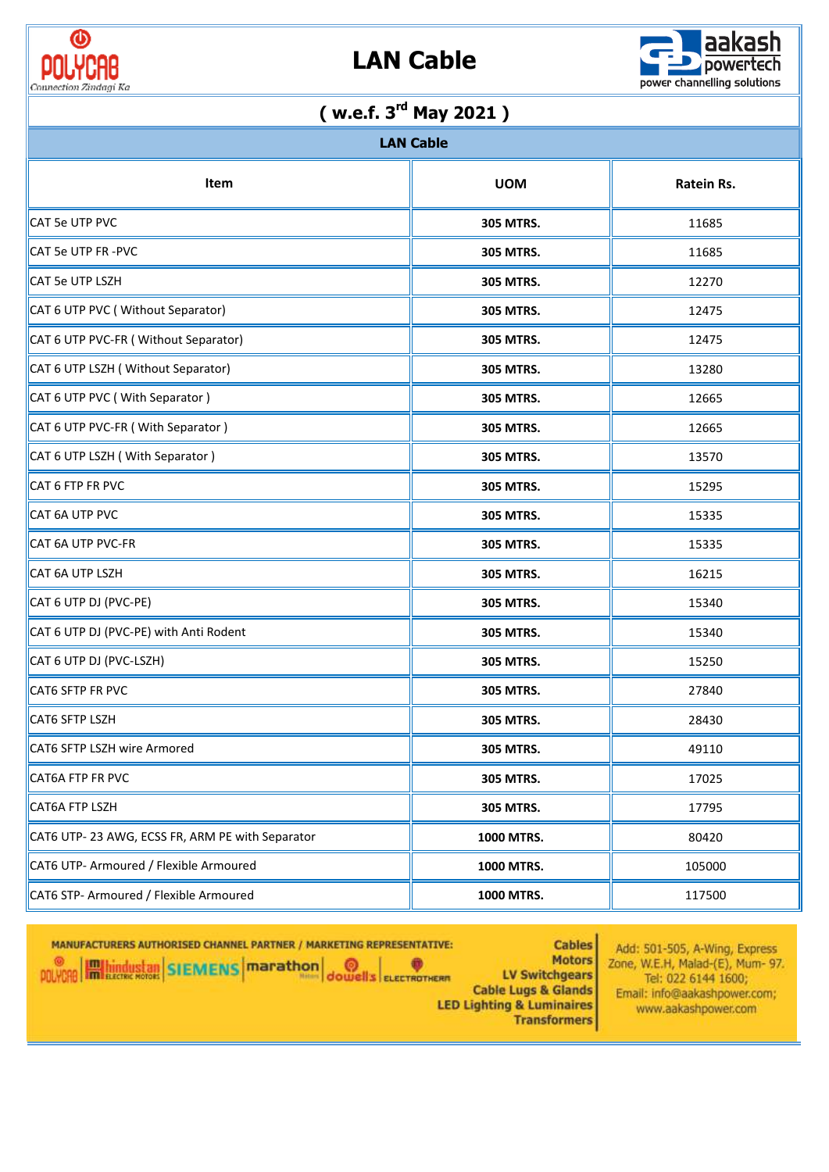



| ( w.e.f. $3^{\text{rd}}$ May 2021 )             |                  |        |  |  |  |  |  |  |
|-------------------------------------------------|------------------|--------|--|--|--|--|--|--|
| <b>LAN Cable</b>                                |                  |        |  |  |  |  |  |  |
| <b>UOM</b><br>Item<br>Ratein Rs.                |                  |        |  |  |  |  |  |  |
| CAT 5e UTP PVC                                  | <b>305 MTRS.</b> | 11685  |  |  |  |  |  |  |
| <b>CAT 5e UTP FR -PVC</b>                       | <b>305 MTRS.</b> | 11685  |  |  |  |  |  |  |
| <b>CAT 5e UTP LSZH</b>                          | <b>305 MTRS.</b> | 12270  |  |  |  |  |  |  |
| CAT 6 UTP PVC (Without Separator)               | 305 MTRS.        | 12475  |  |  |  |  |  |  |
| CAT 6 UTP PVC-FR (Without Separator)            | <b>305 MTRS.</b> | 12475  |  |  |  |  |  |  |
| CAT 6 UTP LSZH (Without Separator)              | <b>305 MTRS.</b> | 13280  |  |  |  |  |  |  |
| CAT 6 UTP PVC (With Separator)                  | <b>305 MTRS.</b> | 12665  |  |  |  |  |  |  |
| CAT 6 UTP PVC-FR ( With Separator )             | <b>305 MTRS.</b> | 12665  |  |  |  |  |  |  |
| CAT 6 UTP LSZH (With Separator)                 | <b>305 MTRS.</b> | 13570  |  |  |  |  |  |  |
| CAT 6 FTP FR PVC                                | <b>305 MTRS.</b> | 15295  |  |  |  |  |  |  |
| CAT 6A UTP PVC                                  | <b>305 MTRS.</b> | 15335  |  |  |  |  |  |  |
| CAT 6A UTP PVC-FR                               | <b>305 MTRS.</b> | 15335  |  |  |  |  |  |  |
| CAT 6A UTP LSZH                                 | <b>305 MTRS.</b> | 16215  |  |  |  |  |  |  |
| CAT 6 UTP DJ (PVC-PE)                           | <b>305 MTRS.</b> | 15340  |  |  |  |  |  |  |
| CAT 6 UTP DJ (PVC-PE) with Anti Rodent          | 305 MTRS.        | 15340  |  |  |  |  |  |  |
| CAT 6 UTP DJ (PVC-LSZH)                         | 305 MTRS.        | 15250  |  |  |  |  |  |  |
| CAT6 SFTP FR PVC                                | 305 MTRS.        | 27840  |  |  |  |  |  |  |
| CAT6 SFTP LSZH                                  | <b>305 MTRS.</b> | 28430  |  |  |  |  |  |  |
| CAT6 SFTP LSZH wire Armored                     | <b>305 MTRS.</b> | 49110  |  |  |  |  |  |  |
| CAT6A FTP FR PVC                                | 305 MTRS.        | 17025  |  |  |  |  |  |  |
| CAT6A FTP LSZH                                  | 305 MTRS.        | 17795  |  |  |  |  |  |  |
| CAT6 UTP-23 AWG, ECSS FR, ARM PE with Separator | 1000 MTRS.       | 80420  |  |  |  |  |  |  |
| CAT6 UTP- Armoured / Flexible Armoured          | 1000 MTRS.       | 105000 |  |  |  |  |  |  |
| CAT6 STP- Armoured / Flexible Armoured          | 1000 MTRS.       | 117500 |  |  |  |  |  |  |

MANUFACTURERS AUTHORISED CHANNEL PARTNER / MARKETING REPRESENTATIVE: POLYCAB **Hallingustab SIEMENS** Marathon dowells ELECTROTHER **LV Switchgears Cable Lugs & Glands LED Lighting & Luminaires** 

**Cables** Add: 501-505, A-Wing, Express **Motors** Zone, W.E.H, Malad-(E), Mum- 97. Tel: 022 6144 1600; Email: info@aakashpower.com; www.aakashpower.com **Transformers**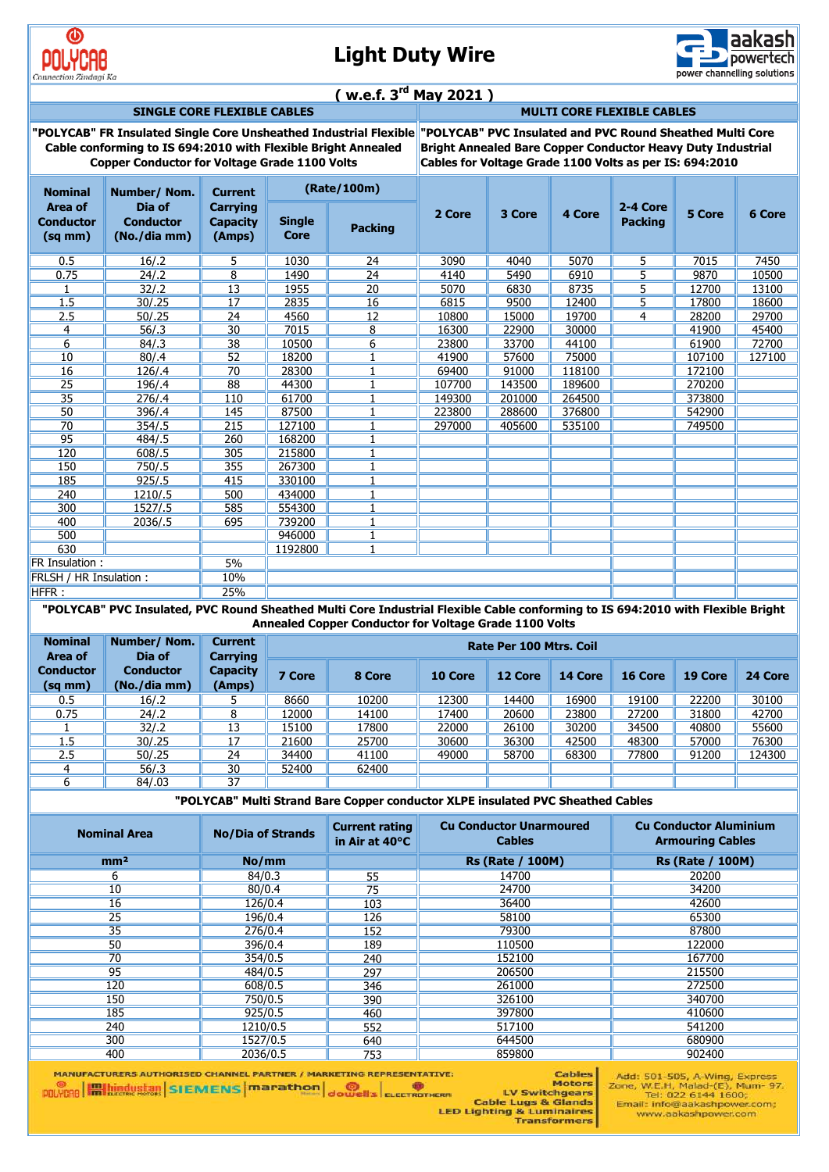

# **Light Duty Wire**



### **( w.e.f. 3rd May 2021 )**

**SINGLE CORE FLEXIBLE CABLES MULTI CORE FLEXIBLE CABLES**

**"POLYCAB" FR Insulated Single Core Unsheathed Industrial Flexible "POLYCAB" PVC Insulated and PVC Round Sheathed Multi Core Cable conforming to IS 694:2010 with Flexible Bright Annealed Copper Conductor for Voltage Grade 1100 Volts**

**Bright Annealed Bare Copper Conductor Heavy Duty Industrial Cables for Voltage Grade 1100 Volts as per IS: 694:2010**

| <b>Nominal</b>                                     | Number/Nom.                                | (Rate/100m)<br><b>Current</b>                |                       |                 |        |        |        |                            |        |        |
|----------------------------------------------------|--------------------------------------------|----------------------------------------------|-----------------------|-----------------|--------|--------|--------|----------------------------|--------|--------|
| <b>Area of</b><br><b>Conductor</b><br>$(sq$ mm $)$ | Dia of<br><b>Conductor</b><br>(No./dia mm) | <b>Carrying</b><br><b>Capacity</b><br>(Amps) | <b>Single</b><br>Core | <b>Packing</b>  | 2 Core | 3 Core | 4 Core | 2-4 Core<br><b>Packing</b> | 5 Core | 6 Core |
| 0.5                                                | 16/.2                                      | 5.                                           | 1030                  | 24              | 3090   | 4040   | 5070   | 5.                         | 7015   | 7450   |
| 0.75                                               | 24/2                                       | $\overline{8}$                               | 1490                  | $\overline{24}$ | 4140   | 5490   | 6910   | $\overline{5}$             | 9870   | 10500  |
|                                                    | 32/2                                       | 13                                           | 1955                  | 20              | 5070   | 6830   | 8735   | 5                          | 12700  | 13100  |
| 1.5                                                | 30/0.25                                    | 17                                           | 2835                  | 16              | 6815   | 9500   | 12400  | 5                          | 17800  | 18600  |
| 2.5                                                | 50/0.25                                    | 24                                           | 4560                  | 12              | 10800  | 15000  | 19700  | 4                          | 28200  | 29700  |
| 4                                                  | 56/.3                                      | 30                                           | 7015                  | 8               | 16300  | 22900  | 30000  |                            | 41900  | 45400  |
| 6                                                  | 84/3                                       | 38                                           | 10500                 | 6               | 23800  | 33700  | 44100  |                            | 61900  | 72700  |
| 10                                                 | 80/.4                                      | 52                                           | 18200                 |                 | 41900  | 57600  | 75000  |                            | 107100 | 127100 |
| 16                                                 | 126/.4                                     | 70                                           | 28300                 |                 | 69400  | 91000  | 118100 |                            | 172100 |        |
| 25                                                 | 196/.4                                     | 88                                           | 44300                 |                 | 107700 | 143500 | 189600 |                            | 270200 |        |
| 35                                                 | 276/0.4                                    | 110                                          | 61700                 |                 | 149300 | 201000 | 264500 |                            | 373800 |        |
| 50                                                 | 396/.4                                     | 145                                          | 87500                 |                 | 223800 | 288600 | 376800 |                            | 542900 |        |
| 70                                                 | 354/.5                                     | 215                                          | 127100                |                 | 297000 | 405600 | 535100 |                            | 749500 |        |
| 95                                                 | 484/.5                                     | 260                                          | 168200                |                 |        |        |        |                            |        |        |
| 120                                                | 608/05                                     | 305                                          | 215800                |                 |        |        |        |                            |        |        |
| 150                                                | 750/.5                                     | 355                                          | 267300                |                 |        |        |        |                            |        |        |
| 185                                                | 925/.5                                     | 415                                          | 330100                |                 |        |        |        |                            |        |        |
| 240                                                | 1210/.5                                    | 500                                          | 434000                |                 |        |        |        |                            |        |        |
| 300                                                | 1527/.5                                    | 585                                          | 554300                |                 |        |        |        |                            |        |        |
| 400                                                | 2036/.5                                    | 695                                          | 739200                |                 |        |        |        |                            |        |        |
| 500                                                |                                            |                                              | 946000                |                 |        |        |        |                            |        |        |
| 630                                                |                                            |                                              | 1192800               | $\mathbf{1}$    |        |        |        |                            |        |        |
| <b>FR Insulation:</b>                              |                                            | 5%                                           |                       |                 |        |        |        |                            |        |        |
| FRLSH / HR Insulation:                             |                                            | 10%                                          |                       |                 |        |        |        |                            |        |        |
| HFFR:                                              |                                            | 25%                                          |                       |                 |        |        |        |                            |        |        |

**"POLYCAB" PVC Insulated, PVC Round Sheathed Multi Core Industrial Flexible Cable conforming to IS 694:2010 with Flexible Bright Annealed Copper Conductor for Voltage Grade 1100 Volts**

| <b>Nominal</b><br>Area of        | Number/Nom.<br>Dia of            | <b>Current</b><br>Carrying | Rate Per 100 Mtrs. Coil |        |         |         |         |         |         |         |
|----------------------------------|----------------------------------|----------------------------|-------------------------|--------|---------|---------|---------|---------|---------|---------|
| <b>Conductor</b><br>$(sq$ mm $)$ | <b>Conductor</b><br>(No./dia mm) | <b>Capacity</b><br>(Amps)  | 7 Core                  | 8 Core | 10 Core | 12 Core | 14 Core | 16 Core | 19 Core | 24 Core |
| 0.5                              | 16/2                             |                            | 8660                    | 10200  | 12300   | 14400   | 16900   | 19100   | 22200   | 30100   |
| 0.75                             | 24/.2                            |                            | 12000                   | 14100  | 17400   | 20600   | 23800   | 27200   | 31800   | 42700   |
|                                  | 32/.2                            | 13                         | 15100                   | 17800  | 22000   | 26100   | 30200   | 34500   | 40800   | 55600   |
| 1.5                              | 30/.25                           | 17                         | 21600                   | 25700  | 30600   | 36300   | 42500   | 48300   | 57000   | 76300   |
| 2.5                              | 50/.25                           | 24                         | 34400                   | 41100  | 49000   | 58700   | 68300   | 77800   | 91200   | 124300  |
|                                  | 56/3                             | 30                         | 52400                   | 62400  |         |         |         |         |         |         |
| h                                | 84/.03                           | 37                         |                         |        |         |         |         |         |         |         |

**"POLYCAB" Multi Strand Bare Copper conductor XLPE insulated PVC Sheathed Cables**

| <b>Nominal Area</b> | <b>No/Dia of Strands</b> | <b>Current rating</b><br>in Air at 40°C | <b>Cu Conductor Unarmoured</b><br><b>Cables</b> | <b>Cu Conductor Aluminium</b><br><b>Armouring Cables</b> |
|---------------------|--------------------------|-----------------------------------------|-------------------------------------------------|----------------------------------------------------------|
| mm <sup>2</sup>     | No/mm                    |                                         | <b>Rs (Rate / 100M)</b>                         | <b>Rs (Rate / 100M)</b>                                  |
| 6                   | 84/0.3                   | 55                                      | 14700                                           | 20200                                                    |
| 10                  | 80/0.4                   | 75                                      | 24700                                           | 34200                                                    |
| 16                  | 126/0.4                  | 103                                     | 36400                                           | 42600                                                    |
| 25                  | 196/0.4                  | 126                                     | 58100                                           | 65300                                                    |
| $\overline{35}$     | 276/0.4                  | 152                                     | 79300                                           | 87800                                                    |
| 50                  | 396/0.4                  | 189                                     | 110500                                          | 122000                                                   |
| 70                  | 354/0.5                  | 240                                     | 152100                                          | 167700                                                   |
| 95                  | 484/0.5                  | 297                                     | 206500                                          | 215500                                                   |
| 120                 | 608/0.5                  | 346                                     | 261000                                          | 272500                                                   |
| 150                 | 750/0.5                  | 390                                     | 326100                                          | 340700                                                   |
| 185                 | 925/0.5                  | 460                                     | 397800                                          | 410600                                                   |
| 240                 | 1210/0.5                 | 552                                     | 517100                                          | 541200                                                   |
| 300                 | 1527/0.5                 | 640                                     | 644500                                          | 680900                                                   |
| 400                 | 2036/0.5                 | 753                                     | 859800                                          | 902400                                                   |

MANUFACTURERS AUTHORISED CHANNEL PARTNER / MARKETING REPRESENTATIVE: **POLYCAO Hall hindustan** SIEMENS **marathon** dowells electronican

Add: 501-505, A-Wing, Express<br>Zone, W.E.H, Malad-(E), Mum- 97.<br>Tel: 022 6144 1600;<br>Email: info@aakashpower.com; Cables **Motors** www.aakashpower.com

Motors<br>ERIC LU Switchgears<br>Cable Lugs & Glands<br>LED Lighting & Luminaires<br>Transformers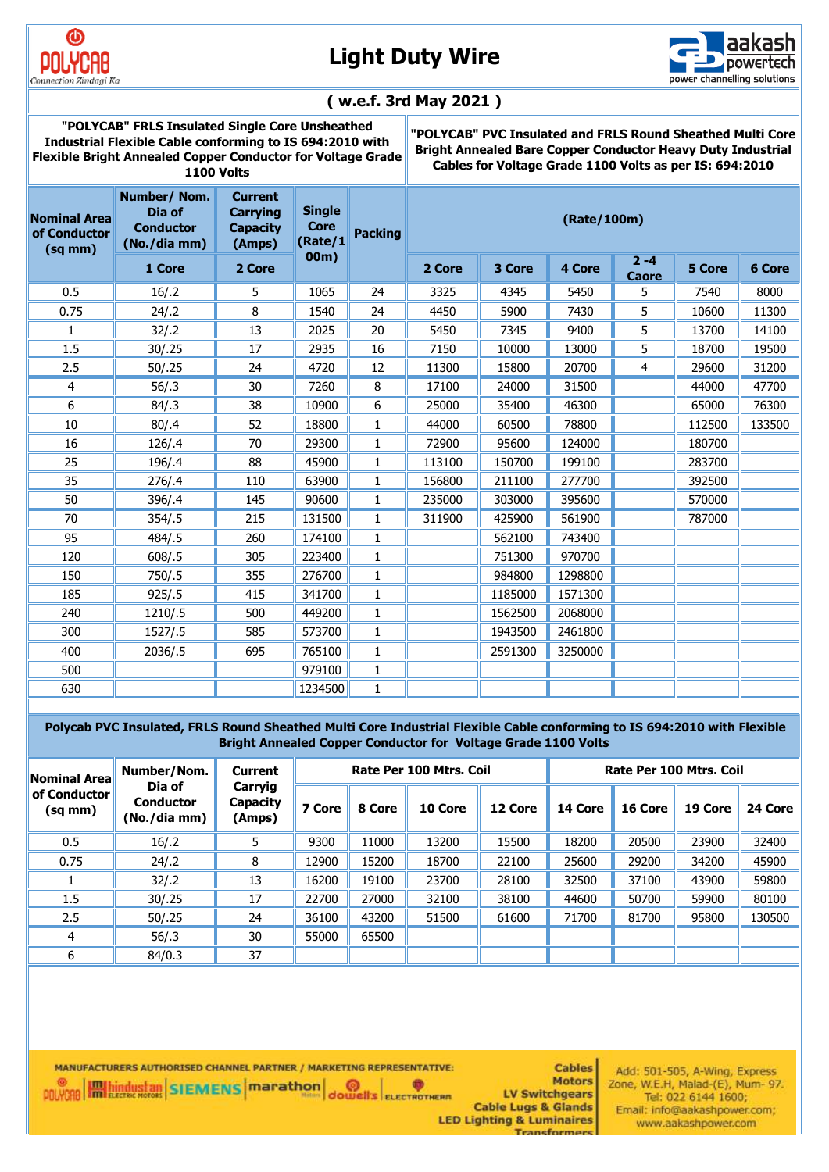

# **Light Duty Wire**



### **( w.e.f. 3rd May 2021 )**

**"POLYCAB" FRLS Insulated Single Core Unsheathed Industrial Flexible Cable conforming to IS 694:2010 with Flexible Bright Annealed Copper Conductor for Voltage Grade 1100 Volts**

**"POLYCAB" PVC Insulated and FRLS Round Sheathed Multi Core Bright Annealed Bare Copper Conductor Heavy Duty Industrial Cables for Voltage Grade 1100 Volts as per IS: 694:2010**

| <b>Nominal Area</b><br>of Conductor<br>$(sq$ mm $)$ | Number/Nom.<br>Dia of<br><b>Conductor</b><br>(No./dia mm) | <b>Current</b><br><b>Carrying</b><br><b>Capacity</b><br>(Amps) | <b>Single</b><br><b>Core</b><br>(Rate/1 | <b>Packing</b> | (Rate/100m) |         |         |                         |        |        |
|-----------------------------------------------------|-----------------------------------------------------------|----------------------------------------------------------------|-----------------------------------------|----------------|-------------|---------|---------|-------------------------|--------|--------|
|                                                     | 1 Core                                                    | 2 Core                                                         | 00 <sub>m</sub>                         |                | 2 Core      | 3 Core  | 4 Core  | $2 - 4$<br><b>Caore</b> | 5 Core | 6 Core |
| 0.5                                                 | 16/.2                                                     | 5                                                              | 1065                                    | 24             | 3325        | 4345    | 5450    | 5                       | 7540   | 8000   |
| 0.75                                                | 24/2                                                      | 8                                                              | 1540                                    | 24             | 4450        | 5900    | 7430    | 5                       | 10600  | 11300  |
| 1                                                   | 32/12                                                     | 13                                                             | 2025                                    | 20             | 5450        | 7345    | 9400    | 5                       | 13700  | 14100  |
| 1.5                                                 | 30/.25                                                    | 17                                                             | 2935                                    | 16             | 7150        | 10000   | 13000   | 5                       | 18700  | 19500  |
| 2.5                                                 | 50/.25                                                    | 24                                                             | 4720                                    | 12             | 11300       | 15800   | 20700   | 4                       | 29600  | 31200  |
| 4                                                   | 56/.3                                                     | 30                                                             | 7260                                    | 8              | 17100       | 24000   | 31500   |                         | 44000  | 47700  |
| 6                                                   | 84/.3                                                     | 38                                                             | 10900                                   | 6              | 25000       | 35400   | 46300   |                         | 65000  | 76300  |
| 10                                                  | 80/.4                                                     | 52                                                             | 18800                                   | 1              | 44000       | 60500   | 78800   |                         | 112500 | 133500 |
| 16                                                  | 126/.4                                                    | 70                                                             | 29300                                   | 1              | 72900       | 95600   | 124000  |                         | 180700 |        |
| 25                                                  | 196/.4                                                    | 88                                                             | 45900                                   | 1              | 113100      | 150700  | 199100  |                         | 283700 |        |
| 35                                                  | 276/0.4                                                   | 110                                                            | 63900                                   | 1              | 156800      | 211100  | 277700  |                         | 392500 |        |
| 50                                                  | 396/.4                                                    | 145                                                            | 90600                                   | 1              | 235000      | 303000  | 395600  |                         | 570000 |        |
| 70                                                  | 354/.5                                                    | 215                                                            | 131500                                  | 1              | 311900      | 425900  | 561900  |                         | 787000 |        |
| 95                                                  | 484/.5                                                    | 260                                                            | 174100                                  | 1              |             | 562100  | 743400  |                         |        |        |
| 120                                                 | 608/05                                                    | 305                                                            | 223400                                  | $\mathbf{1}$   |             | 751300  | 970700  |                         |        |        |
| 150                                                 | 750/0.5                                                   | 355                                                            | 276700                                  | $\mathbf{1}$   |             | 984800  | 1298800 |                         |        |        |
| 185                                                 | 925/0.5                                                   | 415                                                            | 341700                                  | $\mathbf{1}$   |             | 1185000 | 1571300 |                         |        |        |
| 240                                                 | 1210/.5                                                   | 500                                                            | 449200                                  | 1              |             | 1562500 | 2068000 |                         |        |        |
| 300                                                 | 1527/.5                                                   | 585                                                            | 573700                                  | 1              |             | 1943500 | 2461800 |                         |        |        |
| 400                                                 | 2036/.5                                                   | 695                                                            | 765100                                  | $\mathbf{1}$   |             | 2591300 | 3250000 |                         |        |        |
| 500                                                 |                                                           |                                                                | 979100                                  | $\mathbf{1}$   |             |         |         |                         |        |        |
| 630                                                 |                                                           |                                                                | 1234500                                 | $\mathbf{1}$   |             |         |         |                         |        |        |

 **Polycab PVC Insulated, FRLS Round Sheathed Multi Core Industrial Flexible Cable conforming to IS 694:2010 with Flexible Bright Annealed Copper Conductor for Voltage Grade 1100 Volts** 

| Number/Nom.<br><b>Nominal Area</b> |                                            | <b>Current</b>                | Rate Per 100 Mtrs. Coil |        |         |         | Rate Per 100 Mtrs. Coil |         |         |         |
|------------------------------------|--------------------------------------------|-------------------------------|-------------------------|--------|---------|---------|-------------------------|---------|---------|---------|
| of Conductor<br>(sq mm)            | Dia of<br><b>Conductor</b><br>(No./dia mm) | Carryig<br>Capacity<br>(Amps) | 7 Core                  | 8 Core | 10 Core | 12 Core | 14 Core                 | 16 Core | 19 Core | 24 Core |
| 0.5                                | 16/.2                                      | 5.                            | 9300                    | 11000  | 13200   | 15500   | 18200                   | 20500   | 23900   | 32400   |
| 0.75                               | 24/2                                       | 8                             | 12900                   | 15200  | 18700   | 22100   | 25600                   | 29200   | 34200   | 45900   |
|                                    | 32/.2                                      | 13                            | 16200                   | 19100  | 23700   | 28100   | 32500                   | 37100   | 43900   | 59800   |
| 1.5                                | 30/.25                                     | 17                            | 22700                   | 27000  | 32100   | 38100   | 44600                   | 50700   | 59900   | 80100   |
| 2.5                                | 50/.25                                     | 24                            | 36100                   | 43200  | 51500   | 61600   | 71700                   | 81700   | 95800   | 130500  |
| 4                                  | 56/.3                                      | 30                            | 55000                   | 65500  |         |         |                         |         |         |         |
| 6                                  | 84/0.3                                     | 37                            |                         |        |         |         |                         |         |         |         |

MANUFACTURERS AUTHORISED CHANNEL PARTNER / MARKETING REPRESENTATIVE: **POLYCRO Hallingustan** SIEMENS **marathon ODELS** ELECTROTHERM

**Cables Motors LV Switchgears Cable Lugs & Glands LED Lighting & Luminaires** 

**Transforme** 

Add: 501-505, A-Wing, Express<br>Zone, W.E.H, Malad-(E), Mum- 97. Tel: 022 6144 1600; Email: info@aakashpower.com; www.aakashpower.com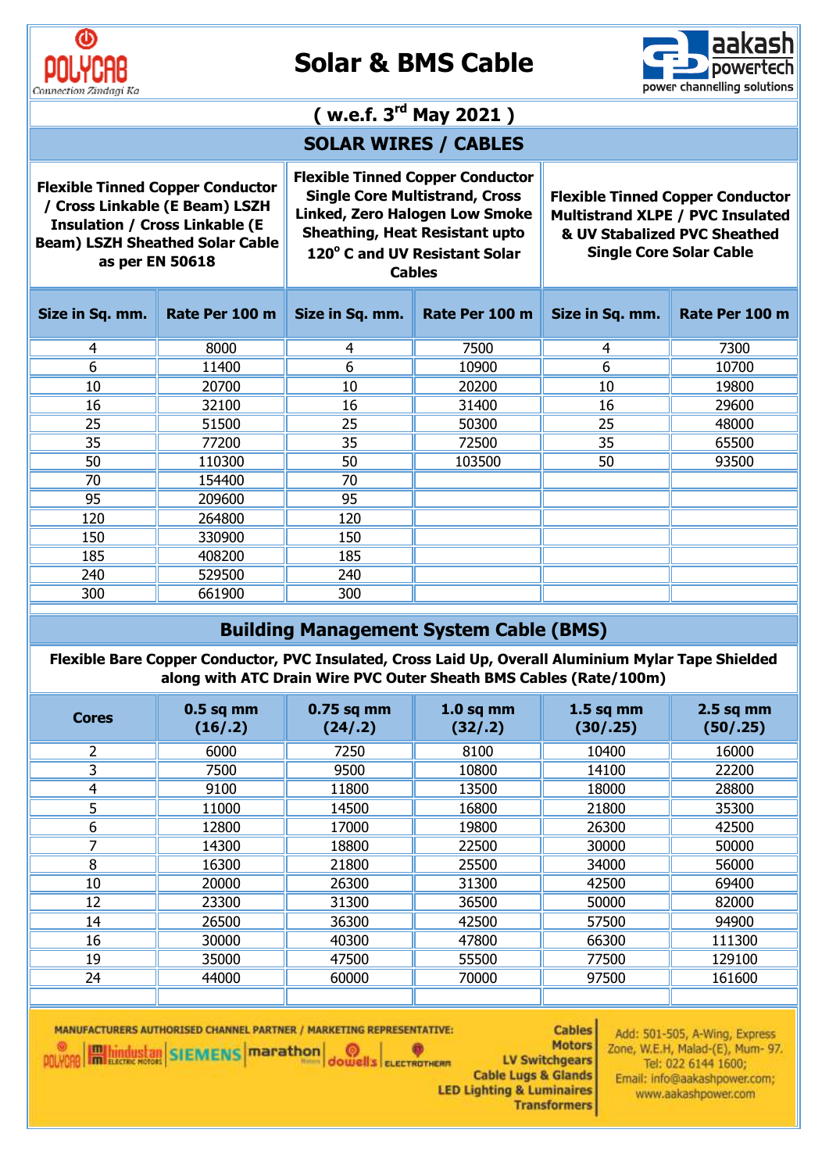

# **Solar & BMS Cable**



# **( w.e.f. 3rd May 2021 ) SOLAR WIRES / CABLES Flexible Tinned Copper Conductor Flexible Tinned Copper Conductor**

**/ Cross Linkable (E Beam) LSZH Insulation / Cross Linkable (E Beam) LSZH Sheathed Solar Cable as per EN 50618**

**Single Core Multistrand, Cross Linked, Zero Halogen Low Smoke Sheathing, Heat Resistant upto 120<sup>o</sup> C and UV Resistant Solar** 

**Flexible Tinned Copper Conductor Multistrand XLPE / PVC Insulated & UV Stabalized PVC Sheathed Single Core Solar Cable**

**Cables**

| ble: |
|------|
|------|

| Size in Sq. mm. | Rate Per 100 m | Size in Sq. mm. | Rate Per 100 m | Size in Sq. mm. | Rate Per 100 m |
|-----------------|----------------|-----------------|----------------|-----------------|----------------|
| 4               | 8000           | 4               | 7500           | 4               | 7300           |
| 6               | 11400          | 6               | 10900          | 6               | 10700          |
| 10              | 20700          | 10              | 20200          | 10              | 19800          |
| 16              | 32100          | 16              | 31400          | 16              | 29600          |
| 25              | 51500          | 25              | 50300          | 25              | 48000          |
| 35              | 77200          | 35              | 72500          | 35              | 65500          |
| 50              | 110300         | 50              | 103500         | 50              | 93500          |
| 70              | 154400         | 70              |                |                 |                |
| 95              | 209600         | 95              |                |                 |                |
| 120             | 264800         | 120             |                |                 |                |
| 150             | 330900         | 150             |                |                 |                |
| 185             | 408200         | 185             |                |                 |                |
| 240             | 529500         | 240             |                |                 |                |
| 300             | 661900         | 300             |                |                 |                |

### **Building Management System Cable (BMS)**

**Flexible Bare Copper Conductor, PVC Insulated, Cross Laid Up, Overall Aluminium Mylar Tape Shielded along with ATC Drain Wire PVC Outer Sheath BMS Cables (Rate/100m)**

| <b>Cores</b> | $0.5$ sq mm<br>(16/.2) | $0.75$ sq mm<br>(24/.2) | $1.0$ sq mm<br>(32/.2) | $1.5$ sq mm<br>(30/.25) | $2.5$ sq mm<br>(50/.25) |
|--------------|------------------------|-------------------------|------------------------|-------------------------|-------------------------|
| 2            | 6000                   | 7250                    | 8100                   | 10400                   | 16000                   |
| 3            | 7500                   | 9500                    | 10800                  | 14100                   | 22200                   |
| 4            | 9100                   | 11800                   | 13500                  | 18000                   | 28800                   |
| 5            | 11000                  | 14500                   | 16800                  | 21800                   | 35300                   |
| 6            | 12800                  | 17000                   | 19800                  | 26300                   | 42500                   |
| 7            | 14300                  | 18800                   | 22500                  | 30000                   | 50000                   |
| 8            | 16300                  | 21800                   | 25500                  | 34000                   | 56000                   |
| 10           | 20000                  | 26300                   | 31300                  | 42500                   | 69400                   |
| 12           | 23300                  | 31300                   | 36500                  | 50000                   | 82000                   |
| 14           | 26500                  | 36300                   | 42500                  | 57500                   | 94900                   |
| 16           | 30000                  | 40300                   | 47800                  | 66300                   | 111300                  |
| 19           | 35000                  | 47500                   | 55500                  | 77500                   | 129100                  |
| 24           | 44000                  | 60000                   | 70000                  | 97500                   | 161600                  |
|              |                        |                         |                        |                         |                         |

**OOUTER** 

MANUFACTURERS AUTHORISED CHANNEL PARTNER / MARKETING REPRESENTATIVE: **POLYCRE METHODS STATE IN THE POLYCRE IN THE POLYCRE** 

**Cables Motors** LV Switchgears **Cable Lugs & Glands LED Lighting & Luminaires Transformers** 

Add: 501-505, A-Wing, Express Zone, W.E.H, Malad-(E), Mum- 97. Tel: 022 6144 1600; Email: info@aakashpower.com; www.aakashpower.com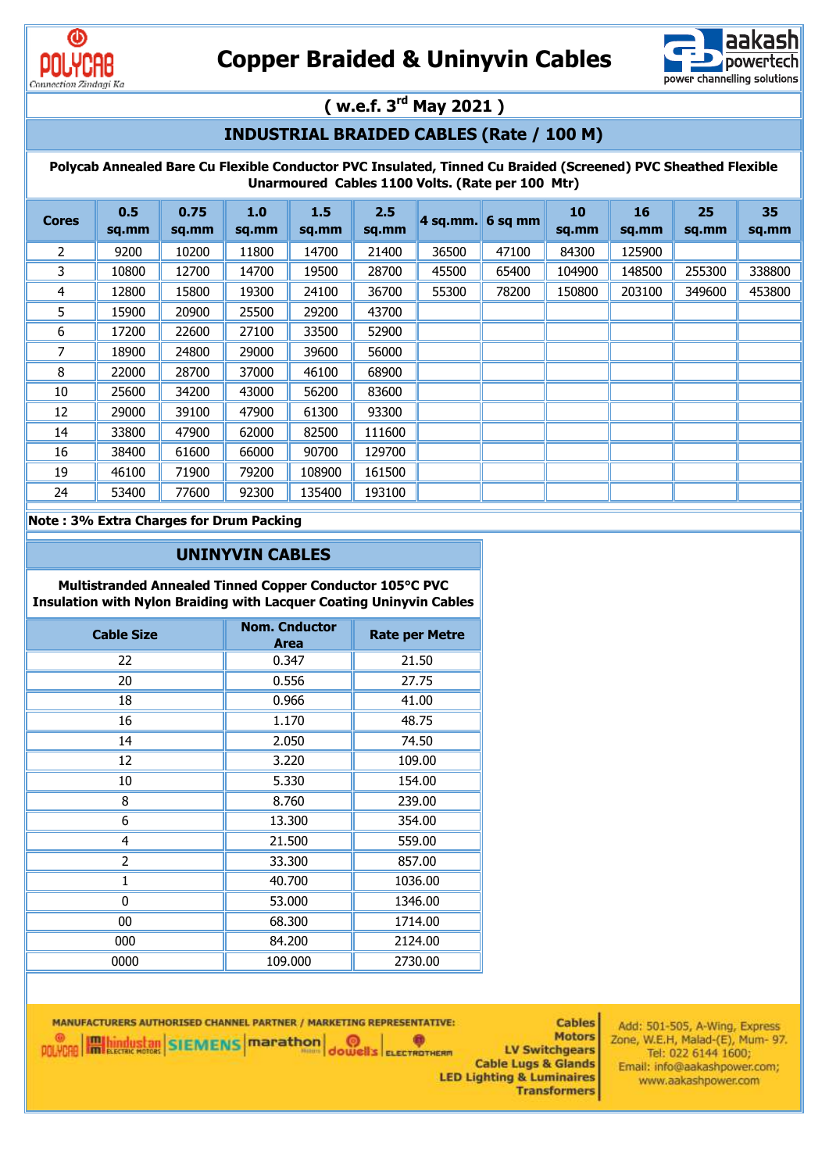



# **( w.e.f. 3rd May 2021 )**

### **INDUSTRIAL BRAIDED CABLES (Rate / 100 M)**

**Polycab Annealed Bare Cu Flexible Conductor PVC Insulated, Tinned Cu Braided (Screened) PVC Sheathed Flexible Unarmoured Cables 1100 Volts. (Rate per 100 Mtr)**

| <b>Cores</b> | 0.5<br>sq.mm | 0.75<br>sq.mm | 1.0<br>sq.mm | 1.5<br>sq.mm | 2.5<br>sq.mm | $4$ sq.mm. | 6 sq mm | 10<br>sq.mm | 16<br>sq.mm | 25<br>sq.mm | 35<br>sq.mm |
|--------------|--------------|---------------|--------------|--------------|--------------|------------|---------|-------------|-------------|-------------|-------------|
| 2            | 9200         | 10200         | 11800        | 14700        | 21400        | 36500      | 47100   | 84300       | 125900      |             |             |
| 3            | 10800        | 12700         | 14700        | 19500        | 28700        | 45500      | 65400   | 104900      | 148500      | 255300      | 338800      |
| 4            | 12800        | 15800         | 19300        | 24100        | 36700        | 55300      | 78200   | 150800      | 203100      | 349600      | 453800      |
| 5            | 15900        | 20900         | 25500        | 29200        | 43700        |            |         |             |             |             |             |
| 6            | 17200        | 22600         | 27100        | 33500        | 52900        |            |         |             |             |             |             |
|              | 18900        | 24800         | 29000        | 39600        | 56000        |            |         |             |             |             |             |
| 8            | 22000        | 28700         | 37000        | 46100        | 68900        |            |         |             |             |             |             |
| 10           | 25600        | 34200         | 43000        | 56200        | 83600        |            |         |             |             |             |             |
| 12           | 29000        | 39100         | 47900        | 61300        | 93300        |            |         |             |             |             |             |
| 14           | 33800        | 47900         | 62000        | 82500        | 111600       |            |         |             |             |             |             |
| 16           | 38400        | 61600         | 66000        | 90700        | 129700       |            |         |             |             |             |             |
| 19           | 46100        | 71900         | 79200        | 108900       | 161500       |            |         |             |             |             |             |
| 24           | 53400        | 77600         | 92300        | 135400       | 193100       |            |         |             |             |             |             |

#### **Note : 3% Extra Charges for Drum Packing**

#### **UNINYVIN CABLES**

**Multistranded Annealed Tinned Copper Conductor 105°C PVC Insulation with Nylon Braiding with Lacquer Coating Uninyvin Cables**

| <b>Cable Size</b> | <b>Nom. Cnductor</b><br><b>Area</b> | <b>Rate per Metre</b> |
|-------------------|-------------------------------------|-----------------------|
| 22                | 0.347                               | 21.50                 |
| 20                | 0.556                               | 27.75                 |
| 18                | 0.966                               | 41.00                 |
| 16                | 1.170                               | 48.75                 |
| 14                | 2.050                               | 74.50                 |
| 12                | 3.220                               | 109.00                |
| 10                | 5.330                               | 154.00                |
| 8                 | 8.760                               | 239.00                |
| 6                 | 13.300                              | 354.00                |
| 4                 | 21.500                              | 559.00                |
| 2                 | 33.300                              | 857.00                |
| 1                 | 40.700                              | 1036.00               |
| 0                 | 53.000                              | 1346.00               |
| $00\,$            | 68.300                              | 1714.00               |
| 000               | 84.200                              | 2124.00               |
| 0000              | 109.000                             | 2730.00               |

MANUFACTURERS AUTHORISED CHANNEL PARTNER / MARKETING REPRESENTATIVE: **Cables** POLYCAR **Hallbardustan** SIEMENS **marathon Motors OOUTER** LV Switchgears **Cable Lugs & Glands LED Lighting & Luminaires Transformers** 

Add: 501-505, A-Wing, Express Zone, W.E.H, Malad-(E), Mum- 97. Tel: 022 6144 1600; Email: info@aakashpower.com; www.aakashpower.com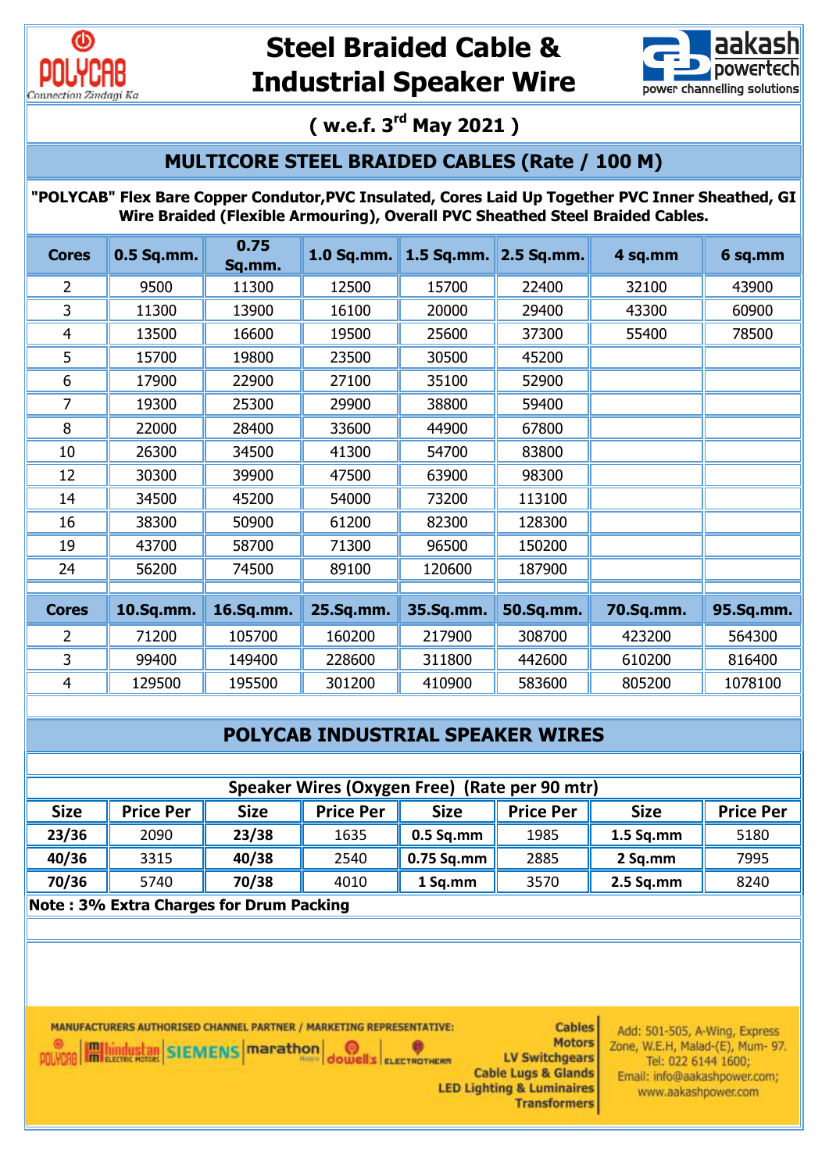



**( w.e.f. 3rd May 2021 )**

## **MULTICORE STEEL BRAIDED CABLES (Rate / 100 M)**

**"POLYCAB" Flex Bare Copper Condutor,PVC Insulated, Cores Laid Up Together PVC Inner Sheathed, GI Wire Braided (Flexible Armouring), Overall PVC Sheathed Steel Braided Cables.**

| <b>Cores</b>   | 0.5 Sq.mm. | 0.75<br>Sq.mm. | 1.0 Sq.mm. | 1.5 Sq.mm. 2.5 Sq.mm. |           | 4 sq.mm   | 6 sq.mm   |
|----------------|------------|----------------|------------|-----------------------|-----------|-----------|-----------|
| 2              | 9500       | 11300          | 12500      | 15700                 | 22400     | 32100     | 43900     |
| 3              | 11300      | 13900          | 16100      | 20000                 | 29400     | 43300     | 60900     |
| $\overline{4}$ | 13500      | 16600          | 19500      | 25600                 | 37300     | 55400     | 78500     |
| 5              | 15700      | 19800          | 23500      | 30500                 | 45200     |           |           |
| 6              | 17900      | 22900          | 27100      | 35100                 | 52900     |           |           |
| 7              | 19300      | 25300          | 29900      | 38800                 | 59400     |           |           |
| 8              | 22000      | 28400          | 33600      | 44900                 | 67800     |           |           |
| 10             | 26300      | 34500          | 41300      | 54700                 | 83800     |           |           |
| 12             | 30300      | 39900          | 47500      | 63900                 | 98300     |           |           |
| 14             | 34500      | 45200          | 54000      | 73200                 | 113100    |           |           |
| 16             | 38300      | 50900          | 61200      | 82300                 | 128300    |           |           |
| 19             | 43700      | 58700          | 71300      | 96500                 | 150200    |           |           |
| 24             | 56200      | 74500          | 89100      | 120600                | 187900    |           |           |
|                |            |                |            |                       |           |           |           |
| <b>Cores</b>   | 10.Sq.mm.  | 16.Sq.mm.      | 25.Sq.mm.  | 35.Sq.mm.             | 50.Sq.mm. | 70.Sq.mm. | 95.Sq.mm. |
| $\overline{2}$ | 71200      | 105700         | 160200     | 217900                | 308700    | 423200    | 564300    |
| 3              | 99400      | 149400         | 228600     | 311800                | 442600    | 610200    | 816400    |
| 4              | 129500     | 195500         | 301200     | 410900                | 583600    | 805200    | 1078100   |

## **POLYCAB INDUSTRIAL SPEAKER WIRES**

| Speaker Wires (Oxygen Free) (Rate per 90 mtr) |                                                                                                                           |       |      |             |      |             |      |  |  |
|-----------------------------------------------|---------------------------------------------------------------------------------------------------------------------------|-------|------|-------------|------|-------------|------|--|--|
| <b>Size</b>                                   | <b>Price Per</b><br><b>Size</b><br><b>Price Per</b><br><b>Size</b><br><b>Price Per</b><br><b>Price Per</b><br><b>Size</b> |       |      |             |      |             |      |  |  |
| 23/36                                         | 2090                                                                                                                      | 23/38 | 1635 | $0.5$ Sq.mm | 1985 | $1.5$ Sq.mm | 5180 |  |  |
| 40/36                                         | 3315                                                                                                                      | 40/38 | 2540 | 0.75 Sq.mm  | 2885 | 2 Sq.mm     | 7995 |  |  |
| 70/36                                         | 5740                                                                                                                      | 70/38 | 4010 | 1 Sq.mm     | 3570 | $2.5$ Sq.mm | 8240 |  |  |
|                                               | Nato : 20/- Evter Charges for Drum Daeking                                                                                |       |      |             |      |             |      |  |  |

**OOUVERS** ELECTROTHERM

**Note : 3% Extra Charges for Drum Packing**

MANUFACTURERS AUTHORISED CHANNEL PARTNER / MARKETING REPRESENTATIVE: **POLYCAR HIM LICANS (MARKET MARKET DE LA CONTRACTE)** 

**Cables Motors LV Switchgears Cable Lugs & Glands LED Lighting & Luminaires Transformers** 

Add: 501-505, A-Wing, Express Zone, W.E.H, Malad-(E), Mum- 97. Tel: 022 6144 1600; Email: info@aakashpower.com; www.aakashpower.com